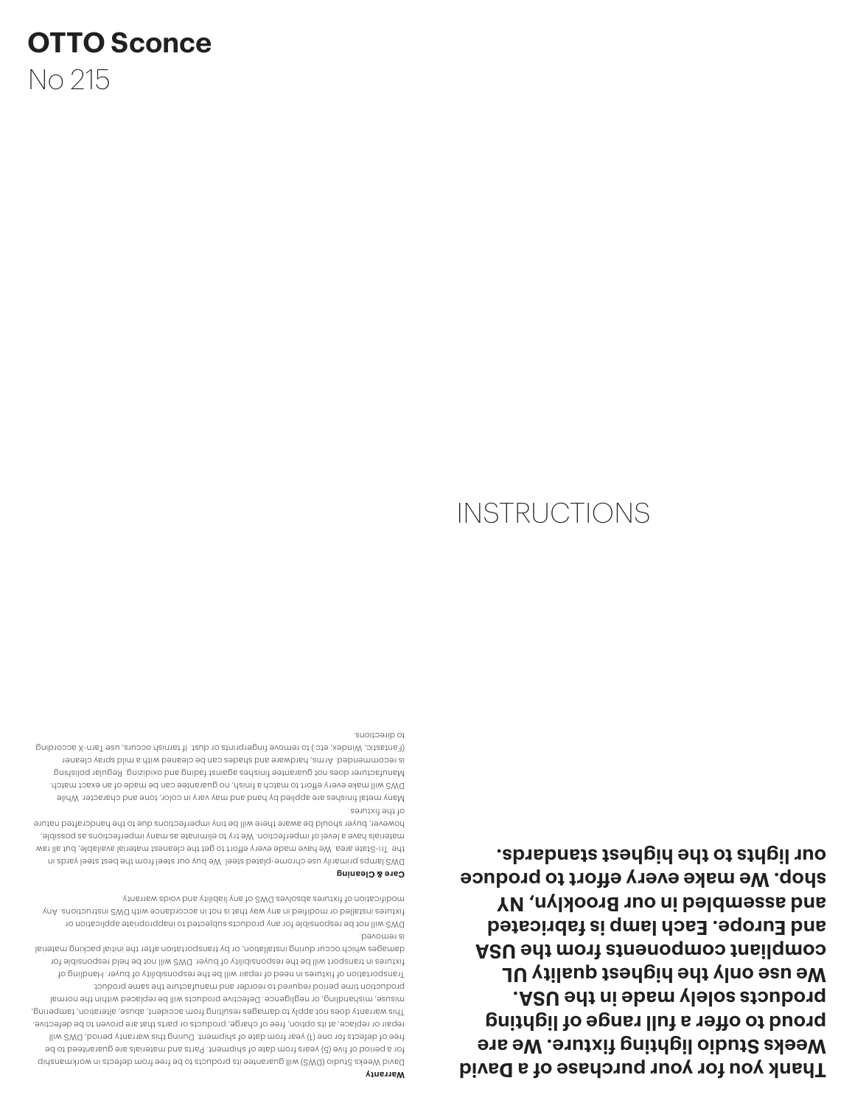**Thank you for your purchase of a David Weeks Studio lighting fixture. We are proud to offer a full range of lighting products solely made in the USA. We use only the highest quality UL**  compliant component *atom* the USA **and Europe. Each lamp is fabricated and assembled in our Brooklyn, NY shop. We make every effort to produce our lights to the highest standards.**

to directions.

**Warranty**

is removed.

**Care & Cleaning**

of the fixtures.

David Weeks Studio (DWS) will guarantee its products to be free from defects in workmanship for a period of five (5) years from date of shipment. Parts and materials are guaranteed to be free of defects for one (1) year from date of shipment. During this warranty period, DWS will repair or replace, at its option, free of charge, products or parts that are proven to be defective. This warranty does not apply to damages resulting from accident, abuse, alteration, tampering, misuse, mishandling, or negligence. Defective products will be replaced within the normal production time period required to reorder and manufacture the same product. Transportation of fixtures in need of repair will be the responsibility of buyer. Handling of fixtures in transport will be the responsibility of buyer. DWS will not be held responsible for damages which occur during installation, or by transportation after the initial packing material

DWS will not be responsible for any products subjected to inappropriate application or fixtures installed or modified in any way that is not in accordance with DWS instructions. Any

DWS lamps primarily use chrome-plated steel. We buy our steel from the best steel yards in the Tri-State area. We have made every effort to get the cleanest material available, but all raw materials have a level of imperfection. We try to eliminate as many imperfections as possible, however, buyer should be aware there will be tiny imperfections due to the handcrafted nature

Many metal finishes are applied by hand and may vary in color, tone and character. While DWS will make every effort to match a finish, no guarantee can be made of an exact match. Manufacturer does not guarantee finishes against fading and oxidizing. Regular polishing is recommended. Arms, hardware and shades can be cleaned with a mild spray cleaner (Fantastic, Windex, etc.) to remove fingerprints or dust. If tarnish occurs, use Tarn-X according

modification of fixtures absolves DWS of any liability and voids warranty.

## **INSTRUCTIONS**

No 215

**OTTO Sconce**